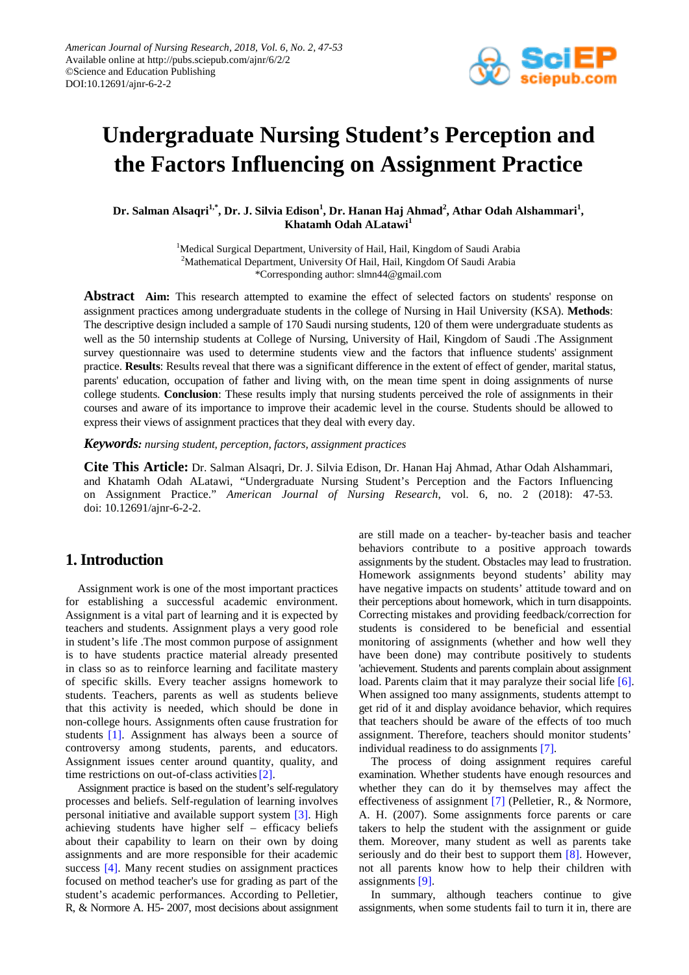

# **Undergraduate Nursing Student's Perception and the Factors Influencing on Assignment Practice**

Dr. Salman Alsaqri<sup>1,\*</sup>, Dr. J. Silvia Edison<sup>1</sup>, Dr. Hanan Haj Ahmad<sup>2</sup>, Athar Odah Alshammari<sup>1</sup>, **Khatamh Odah ALatawi<sup>1</sup>**

> <sup>1</sup>Medical Surgical Department, University of Hail, Hail, Kingdom of Saudi Arabia <sup>2</sup>Mathematical Department, University Of Hail, Hail, Kingdom Of Saudi Arabia \*Corresponding author: slmn44@gmail.com

**Abstract Aim:** This research attempted to examine the effect of selected factors on students' response on assignment practices among undergraduate students in the college of Nursing in Hail University (KSA). **Methods**: The descriptive design included a sample of 170 Saudi nursing students, 120 of them were undergraduate students as well as the 50 internship students at College of Nursing, University of Hail, Kingdom of Saudi .The Assignment survey questionnaire was used to determine students view and the factors that influence students' assignment practice. **Results**: Results reveal that there was a significant difference in the extent of effect of gender, marital status, parents' education, occupation of father and living with, on the mean time spent in doing assignments of nurse college students. **Conclusion**: These results imply that nursing students perceived the role of assignments in their courses and aware of its importance to improve their academic level in the course. Students should be allowed to express their views of assignment practices that they deal with every day.

*Keywords: nursing student, perception, factors, assignment practices*

**Cite This Article:** Dr. Salman Alsaqri, Dr. J. Silvia Edison, Dr. Hanan Haj Ahmad, Athar Odah Alshammari, and Khatamh Odah ALatawi, "Undergraduate Nursing Student's Perception and the Factors Influencing on Assignment Practice." *American Journal of Nursing Research*, vol. 6, no. 2 (2018): 47-53. doi: 10.12691/ajnr-6-2-2.

## **1. Introduction**

Assignment work is one of the most important practices for establishing a successful academic environment. Assignment is a vital part of learning and it is expected by teachers and students. Assignment plays a very good role in student's life .The most common purpose of assignment is to have students practice material already presented in class so as to reinforce learning and facilitate mastery of specific skills. Every teacher assigns homework to students. Teachers, parents as well as students believe that this activity is needed, which should be done in non-college hours. Assignments often cause frustration for students [\[1\].](#page-5-0) Assignment has always been a source of controversy among students, parents, and educators. Assignment issues center around quantity, quality, and time restrictions on out-of-class activities [2].

Assignment practice is based on the student's self-regulatory processes and beliefs. Self-regulation of learning involves personal initiative and available support system [\[3\].](#page-5-2) High achieving students have higher self – efficacy beliefs about their capability to learn on their own by doing assignments and are more responsible for their academic success [\[4\].](#page-5-3) Many recent studies on assignment practices focused on method teacher's use for grading as part of the student's academic performances. According to Pelletier, R, & Normore A. H5- 2007, most decisions about assignment are still made on a teacher- by-teacher basis and teacher behaviors contribute to a positive approach towards assignments by the student. Obstacles may lead to frustration. Homework assignments beyond students' ability may have negative impacts on students' attitude toward and on their perceptions about homework, which in turn disappoints. Correcting mistakes and providing feedback/correction for students is considered to be beneficial and essential monitoring of assignments (whether and how well they have been done) may contribute positively to students 'achievement. Students and parents complain about assignment load. Parents claim that it may paralyze their social life [\[6\].](#page-5-4) When assigned too many assignments, students attempt to get rid of it and display avoidance behavior, which requires that teachers should be aware of the effects of too much assignment. Therefore, teachers should monitor students' individual readiness to do assignments [\[7\].](#page-5-5)

The process of doing assignment requires careful examination. Whether students have enough resources and whether they can do it by themselves may affect the effectiveness of assignment [\[7\]](#page-5-5) (Pelletier, R., & Normore, A. H. (2007). Some assignments force parents or care takers to help the student with the assignment or guide them. Moreover, many student as well as parents take seriously and do their best to support them [\[8\].](#page-5-6) However, not all parents know how to help their children with assignments [\[9\].](#page-5-7)

In summary, although teachers continue to give assignments, when some students fail to turn it in, there are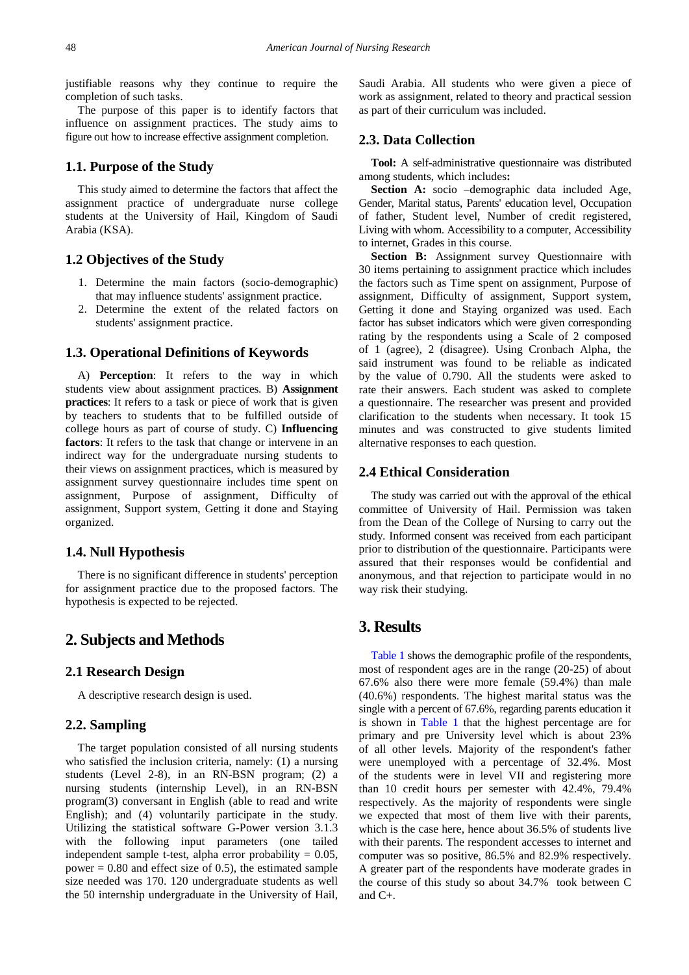justifiable reasons why they continue to require the completion of such tasks.

The purpose of this paper is to identify factors that influence on assignment practices. The study aims to figure out how to increase effective assignment completion.

#### **1.1. Purpose of the Study**

This study aimed to determine the factors that affect the assignment practice of undergraduate nurse college students at the University of Hail, Kingdom of Saudi Arabia (KSA).

#### **1.2 Objectives of the Study**

- 1. Determine the main factors (socio-demographic) that may influence students' assignment practice.
- 2. Determine the extent of the related factors on students' assignment practice.

#### **1.3. Operational Definitions of Keywords**

A) **Perception**: It refers to the way in which students view about assignment practices. B) **Assignment practices**: It refers to a task or piece of work that is given by teachers to students that to be fulfilled outside of college hours as part of course of study. C) **Influencing factors**: It refers to the task that change or intervene in an indirect way for the undergraduate nursing students to their views on assignment practices, which is measured by assignment survey questionnaire includes time spent on assignment, Purpose of assignment, Difficulty of assignment, Support system, Getting it done and Staying organized.

#### **1.4. Null Hypothesis**

There is no significant difference in students' perception for assignment practice due to the proposed factors. The hypothesis is expected to be rejected.

## **2. Subjects and Methods**

#### **2.1 Research Design**

A descriptive research design is used.

#### **2.2. Sampling**

The target population consisted of all nursing students who satisfied the inclusion criteria, namely: (1) a nursing students (Level 2-8), in an RN-BSN program; (2) a nursing students (internship Level), in an RN-BSN program(3) conversant in English (able to read and write English); and (4) voluntarily participate in the study. Utilizing the statistical software G-Power version 3.1.3 with the following input parameters (one tailed independent sample t-test, alpha error probability  $= 0.05$ , power  $= 0.80$  and effect size of 0.5), the estimated sample size needed was 170. 120 undergraduate students as well the 50 internship undergraduate in the University of Hail, Saudi Arabia. All students who were given a piece of work as assignment, related to theory and practical session as part of their curriculum was included.

#### **2.3. Data Collection**

**Tool:** A self-administrative questionnaire was distributed among students, which includes**:**

**Section A:** socio –demographic data included Age, Gender, Marital status, Parents' education level, Occupation of father, Student level, Number of credit registered, Living with whom. Accessibility to a computer, Accessibility to internet, Grades in this course.

**Section B:** Assignment survey Questionnaire with 30 items pertaining to assignment practice which includes the factors such as Time spent on assignment, Purpose of assignment, Difficulty of assignment, Support system, Getting it done and Staying organized was used. Each factor has subset indicators which were given corresponding rating by the respondents using a Scale of 2 composed of 1 (agree), 2 (disagree). Using Cronbach Alpha, the said instrument was found to be reliable as indicated by the value of 0.790. All the students were asked to rate their answers. Each student was asked to complete a questionnaire. The researcher was present and provided clarification to the students when necessary. It took 15 minutes and was constructed to give students limited alternative responses to each question.

#### **2.4 Ethical Consideration**

The study was carried out with the approval of the ethical committee of University of Hail. Permission was taken from the Dean of the College of Nursing to carry out the study. Informed consent was received from each participant prior to distribution of the questionnaire. Participants were assured that their responses would be confidential and anonymous, and that rejection to participate would in no way risk their studying.

## **3. Results**

[Table 1](#page-2-0) shows the demographic profile of the respondents, most of respondent ages are in the range (20-25) of about 67.6% also there were more female (59.4%) than male (40.6%) respondents. The highest marital status was the single with a percent of 67.6%, regarding parents education it is shown in [Table 1](#page-2-0) that the highest percentage are for primary and pre University level which is about 23% of all other levels. Majority of the respondent's father were unemployed with a percentage of 32.4%. Most of the students were in level VII and registering more than 10 credit hours per semester with 42.4%, 79.4% respectively. As the majority of respondents were single we expected that most of them live with their parents, which is the case here, hence about 36.5% of students live with their parents. The respondent accesses to internet and computer was so positive, 86.5% and 82.9% respectively. A greater part of the respondents have moderate grades in the course of this study so about 34.7% took between C and  $C_{\pm}$ .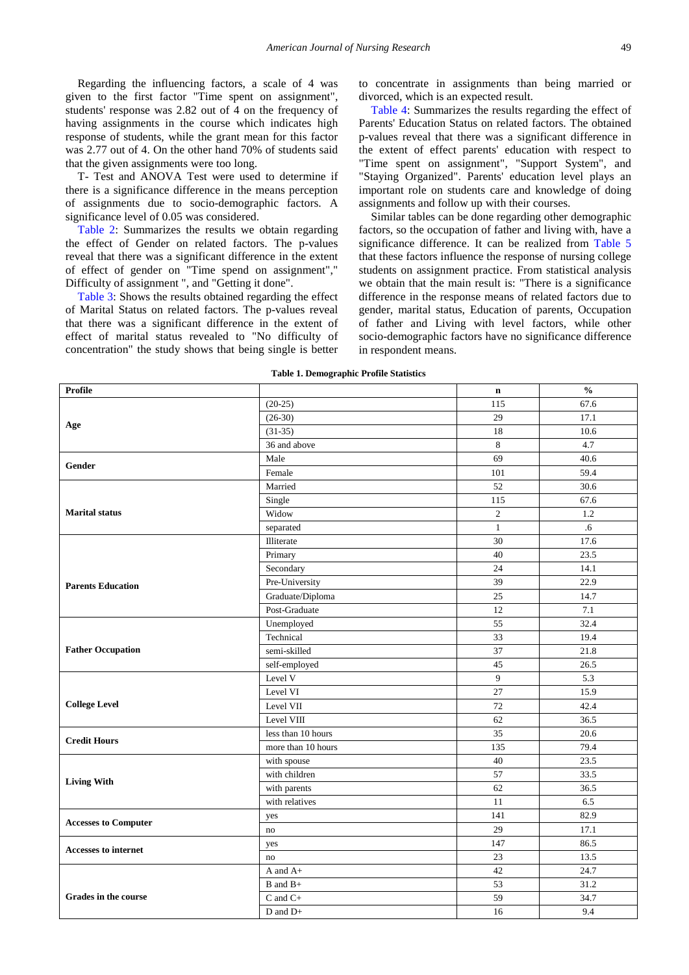Regarding the influencing factors, a scale of 4 was given to the first factor "Time spent on assignment", students' response was 2.82 out of 4 on the frequency of having assignments in the course which indicates high response of students, while the grant mean for this factor was 2.77 out of 4. On the other hand 70% of students said that the given assignments were too long.

T- Test and ANOVA Test were used to determine if there is a significance difference in the means perception of assignments due to socio-demographic factors. A significance level of 0.05 was considered.

[Table 2:](#page-3-0) Summarizes the results we obtain regarding the effect of Gender on related factors. The p-values reveal that there was a significant difference in the extent of effect of gender on "Time spend on assignment"," Difficulty of assignment ", and "Getting it done".

[Table 3:](#page-3-1) Shows the results obtained regarding the effect of Marital Status on related factors. The p-values reveal that there was a significant difference in the extent of effect of marital status revealed to "No difficulty of concentration" the study shows that being single is better to concentrate in assignments than being married or divorced, which is an expected result.

[Table 4:](#page-4-0) Summarizes the results regarding the effect of Parents' Education Status on related factors. The obtained p-values reveal that there was a significant difference in the extent of effect parents' education with respect to "Time spent on assignment", "Support System", and "Staying Organized". Parents' education level plays an important role on students care and knowledge of doing assignments and follow up with their courses.

Similar tables can be done regarding other demographic factors, so the occupation of father and living with, have a significance difference. It can be realized from [Table 5](#page-4-1) that these factors influence the response of nursing college students on assignment practice. From statistical analysis we obtain that the main result is: "There is a significance difference in the response means of related factors due to gender, marital status, Education of parents, Occupation of father and Living with level factors, while other socio-demographic factors have no significance difference in respondent means.

<span id="page-2-0"></span>

|                             | $\tilde{}$         |              |                                    |
|-----------------------------|--------------------|--------------|------------------------------------|
| <b>Profile</b>              |                    | $\mathbf n$  | $\mathbf{0}_{\mathbf{0}}^{\prime}$ |
|                             | $(20-25)$          | 115          | 67.6                               |
|                             | $(26-30)$          | 29           | 17.1                               |
| Age                         | $(31-35)$          | 18           | 10.6                               |
|                             | 36 and above       | 8            | 4.7                                |
| Gender                      | Male               | 69           | 40.6                               |
|                             | Female             | 101          | 59.4                               |
|                             | Married            | 52           | 30.6                               |
|                             | Single             | 115          | 67.6                               |
| <b>Marital status</b>       | Widow              | $\sqrt{2}$   | 1.2                                |
|                             | separated          | $\mathbf{1}$ | .6                                 |
|                             | Illiterate         | 30           | 17.6                               |
|                             | Primary            | 40           | 23.5                               |
|                             | Secondary          | 24           | 14.1                               |
| <b>Parents Education</b>    | Pre-University     | 39           | 22.9                               |
|                             | Graduate/Diploma   | 25           | 14.7                               |
|                             | Post-Graduate      | 12           | 7.1                                |
|                             | Unemployed         | 55           | 32.4                               |
|                             | Technical          | 33           | 19.4                               |
| <b>Father Occupation</b>    | semi-skilled       | 37           | 21.8                               |
|                             | self-employed      | 45           | 26.5                               |
|                             | Level V            | 9            | 5.3                                |
|                             | Level VI           | 27           | 15.9                               |
| <b>College Level</b>        | Level VII          | 72           | 42.4                               |
|                             | Level VIII         | 62           | 36.5                               |
| <b>Credit Hours</b>         | less than 10 hours | 35           | 20.6                               |
|                             | more than 10 hours | 135          | 79.4                               |
|                             | with spouse        | 40           | 23.5                               |
| <b>Living With</b>          | with children      | 57           | 33.5                               |
|                             | with parents       | 62           | 36.5                               |
|                             | with relatives     | 11           | 6.5                                |
| <b>Accesses to Computer</b> | yes                | 141          | 82.9                               |
|                             | no                 | 29           | 17.1                               |
| Accesses to internet        | yes                | 147          | 86.5                               |
|                             | no                 | 23           | 13.5                               |
|                             | A and A+           | 42           | 24.7                               |
|                             | B and B+           | 53           | 31.2                               |
| Grades in the course        | $C$ and $C+$       | 59           | 34.7                               |
|                             | $D$ and $D+$       | 16           | 9.4                                |

**Table 1. Demographic Profile Statistics**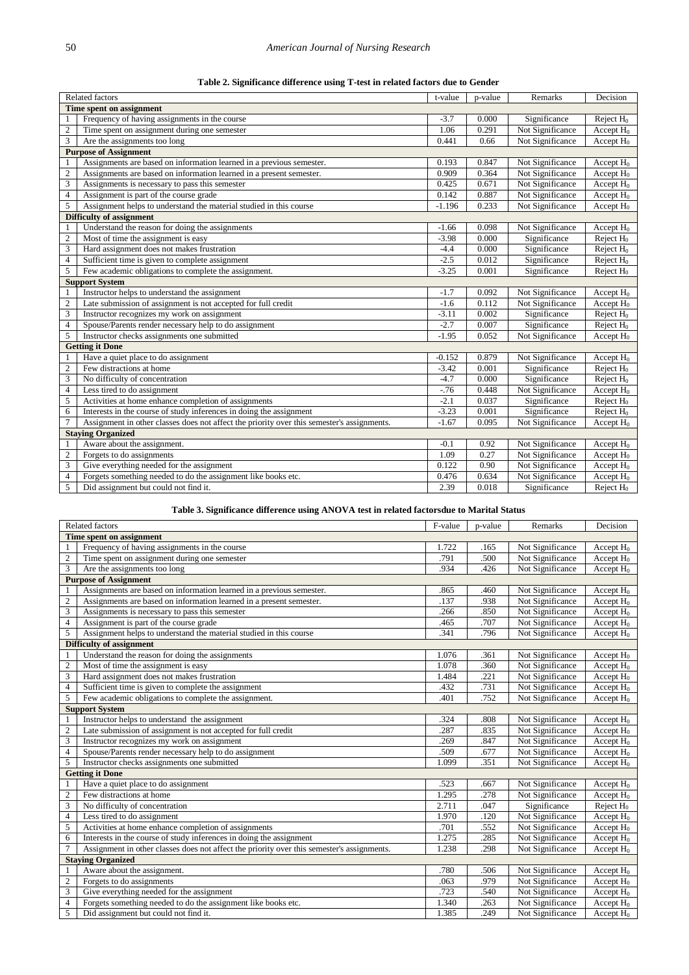|  | Table 2. Significance difference using T-test in related factors due to Gender |  |  |  |
|--|--------------------------------------------------------------------------------|--|--|--|
|  |                                                                                |  |  |  |

<span id="page-3-0"></span>

|                         | Decision                                                                                   |          |       |                  |                       |  |  |
|-------------------------|--------------------------------------------------------------------------------------------|----------|-------|------------------|-----------------------|--|--|
|                         | <b>Related factors</b><br>Remarks<br>t-value<br>p-value                                    |          |       |                  |                       |  |  |
|                         | Time spent on assignment                                                                   |          |       |                  |                       |  |  |
|                         | Frequency of having assignments in the course                                              | $-3.7$   | 0.000 | Significance     | Reject $H_0$          |  |  |
| $\boldsymbol{2}$        | Time spent on assignment during one semester                                               | 1.06     | 0.291 | Not Significance | Accept $H_0$          |  |  |
| 3                       | Are the assignments too long                                                               | 0.441    | 0.66  | Not Significance | Accept $H_0$          |  |  |
|                         | <b>Purpose of Assignment</b>                                                               |          |       |                  |                       |  |  |
|                         | Assignments are based on information learned in a previous semester.                       | 0.193    | 0.847 | Not Significance | Accept $H_0$          |  |  |
| $\sqrt{2}$              | Assignments are based on information learned in a present semester.                        | 0.909    | 0.364 | Not Significance | Accept $H_0$          |  |  |
| $\mathfrak{Z}$          | Assignments is necessary to pass this semester                                             | 0.425    | 0.671 | Not Significance | Accept $H_0$          |  |  |
| $\overline{4}$          | Assignment is part of the course grade                                                     | 0.142    | 0.887 | Not Significance | Accept $H_0$          |  |  |
| 5                       | Assignment helps to understand the material studied in this course                         | $-1.196$ | 0.233 | Not Significance | Accept $H_0$          |  |  |
|                         | Difficulty of assignment                                                                   |          |       |                  |                       |  |  |
|                         | Understand the reason for doing the assignments                                            | $-1.66$  | 0.098 | Not Significance | Accept $H_0$          |  |  |
| $\sqrt{2}$              | Most of time the assignment is easy                                                        | $-3.98$  | 0.000 | Significance     | Reject $H_0$          |  |  |
| 3                       | Hard assignment does not makes frustration                                                 | $-4.4$   | 0.000 | Significance     | Reject $H_0$          |  |  |
| $\overline{4}$          | Sufficient time is given to complete assignment                                            | $-2.5$   | 0.012 | Significance     | Reject H <sub>0</sub> |  |  |
| $\overline{5}$          | Few academic obligations to complete the assignment.                                       | $-3.25$  | 0.001 | Significance     | Reject $H_0$          |  |  |
|                         | <b>Support System</b>                                                                      |          |       |                  |                       |  |  |
| -1                      | Instructor helps to understand the assignment                                              | $-1.7$   | 0.092 | Not Significance | Accept $H_0$          |  |  |
| $\overline{c}$          | Late submission of assignment is not accepted for full credit                              | $-1.6$   | 0.112 | Not Significance | Accept H <sub>0</sub> |  |  |
| $\overline{3}$          | Instructor recognizes my work on assignment                                                | $-3.11$  | 0.002 | Significance     | Reject $H_0$          |  |  |
| $\overline{4}$          | Spouse/Parents render necessary help to do assignment                                      | $-2.7$   | 0.007 | Significance     | Reject $H_0$          |  |  |
| 5                       | Instructor checks assignments one submitted                                                | $-1.95$  | 0.052 | Not Significance | Accept $H_0$          |  |  |
|                         | <b>Getting it Done</b>                                                                     |          |       |                  |                       |  |  |
|                         | Have a quiet place to do assignment                                                        | $-0.152$ | 0.879 | Not Significance | Accept $H_0$          |  |  |
| $\mathbf{2}$            | Few distractions at home                                                                   | $-3.42$  | 0.001 | Significance     | Reject $H_0$          |  |  |
| 3                       | No difficulty of concentration                                                             | $-4.7$   | 0.000 | Significance     | Reject $H_0$          |  |  |
| $\overline{4}$          | Less tired to do assignment                                                                | $-76$    | 0.448 | Not Significance | Accept $H_0$          |  |  |
| 5                       | Activities at home enhance completion of assignments                                       | $-2.1$   | 0.037 | Significance     | Reject $H_0$          |  |  |
| 6                       | Interests in the course of study inferences in doing the assignment                        | $-3.23$  | 0.001 | Significance     | Reject H <sub>0</sub> |  |  |
| $\overline{7}$          | Assignment in other classes does not affect the priority over this semester's assignments. | $-1.67$  | 0.095 | Not Significance | Accept $H_0$          |  |  |
|                         | <b>Staying Organized</b>                                                                   |          |       |                  |                       |  |  |
| 1                       | Aware about the assignment.                                                                | $-0.1$   | 0.92  | Not Significance | Accept $H_0$          |  |  |
| $\sqrt{2}$              | Forgets to do assignments                                                                  | 1.09     | 0.27  | Not Significance | Accept $H_0$          |  |  |
| $\overline{\mathbf{3}}$ | Give everything needed for the assignment                                                  | 0.122    | 0.90  | Not Significance | Accept $H_0$          |  |  |
| $\overline{4}$          | Forgets something needed to do the assignment like books etc.                              | 0.476    | 0.634 | Not Significance | Accept $H_0$          |  |  |
| 5                       | Did assignment but could not find it.                                                      | 2.39     | 0.018 | Significance     | Reject $H_0$          |  |  |
|                         |                                                                                            |          |       |                  |                       |  |  |

## **Table 3. Significance difference using ANOVA test in related factorsdue to Marital Status**

<span id="page-3-1"></span>

|                  | <b>Related factors</b>                                                                     | F-value | p-value | Remarks          | Decision              |
|------------------|--------------------------------------------------------------------------------------------|---------|---------|------------------|-----------------------|
|                  | Time spent on assignment                                                                   |         |         |                  |                       |
|                  | Frequency of having assignments in the course                                              | 1.722   | .165    | Not Significance | Accept $H_0$          |
| $\overline{c}$   | Time spent on assignment during one semester                                               | .791    | .500    | Not Significance | Accept $H_0$          |
| $\overline{3}$   | Are the assignments too long                                                               | .934    | .426    | Not Significance | Accept $H_0$          |
|                  | <b>Purpose of Assignment</b>                                                               |         |         |                  |                       |
|                  | Assignments are based on information learned in a previous semester.                       | .865    | .460    | Not Significance | Accept $H_0$          |
| $\sqrt{2}$       | Assignments are based on information learned in a present semester.                        | .137    | .938    | Not Significance | Accept $H_0$          |
| 3                | Assignments is necessary to pass this semester                                             | .266    | .850    | Not Significance | Accept $H_0$          |
| $\overline{4}$   | Assignment is part of the course grade                                                     | .465    | .707    | Not Significance | Accept $H_0$          |
| 5                | Assignment helps to understand the material studied in this course                         | .341    | .796    | Not Significance | Accept $H_0$          |
|                  | Difficulty of assignment                                                                   |         |         |                  |                       |
|                  | Understand the reason for doing the assignments                                            | 1.076   | .361    | Not Significance | Accept $H_0$          |
| $\overline{2}$   | Most of time the assignment is easy                                                        | 1.078   | .360    | Not Significance | Accept $H_0$          |
| 3                | Hard assignment does not makes frustration                                                 | 1.484   | .221    | Not Significance | Accept $H_0$          |
| $\overline{4}$   | Sufficient time is given to complete the assignment                                        | .432    | .731    | Not Significance | Accept $H_0$          |
| 5                | Few academic obligations to complete the assignment.                                       | .401    | .752    | Not Significance | Accept $H_0$          |
|                  | <b>Support System</b>                                                                      |         |         |                  |                       |
|                  | Instructor helps to understand the assignment                                              | .324    | .808    | Not Significance | Accept $H_0$          |
| $\sqrt{2}$       | Late submission of assignment is not accepted for full credit                              | .287    | .835    | Not Significance | Accept $H_0$          |
| 3                | Instructor recognizes my work on assignment                                                | .269    | .847    | Not Significance | Accept $H_0$          |
| $\overline{4}$   | Spouse/Parents render necessary help to do assignment                                      | .509    | .677    | Not Significance | Accept $H_0$          |
| 5                | Instructor checks assignments one submitted                                                | 1.099   | .351    | Not Significance | Accept $H_0$          |
|                  | <b>Getting it Done</b>                                                                     |         |         |                  |                       |
|                  | Have a quiet place to do assignment                                                        | .523    | .667    | Not Significance | Accept $H_0$          |
| $\mathfrak{2}$   | Few distractions at home                                                                   | 1.295   | .278    | Not Significance | Accept $H_0$          |
| 3                | No difficulty of concentration                                                             | 2.711   | .047    | Significance     | Reject H <sub>0</sub> |
| 4                | Less tired to do assignment                                                                | 1.970   | .120    | Not Significance | Accept $H_0$          |
| 5                | Activities at home enhance completion of assignments                                       | .701    | .552    | Not Significance | Accept $H_0$          |
| 6                | Interests in the course of study inferences in doing the assignment                        | 1.275   | .285    | Not Significance | Accept $H_0$          |
| $\overline{7}$   | Assignment in other classes does not affect the priority over this semester's assignments. | 1.238   | .298    | Not Significance | Accept $H_0$          |
|                  | <b>Staving Organized</b>                                                                   |         |         |                  |                       |
| 1                | Aware about the assignment.                                                                | .780    | .506    | Not Significance | Accept $H_0$          |
| $\boldsymbol{2}$ | Forgets to do assignments                                                                  | .063    | .979    | Not Significance | Accept $H_0$          |
| 3                | Give everything needed for the assignment                                                  | .723    | .540    | Not Significance | Accept $H_0$          |
| $\overline{4}$   | Forgets something needed to do the assignment like books etc.                              | 1.340   | .263    | Not Significance | Accept $H_0$          |
| 5                | Did assignment but could not find it.                                                      | 1.385   | .249    | Not Significance | Accept $H_0$          |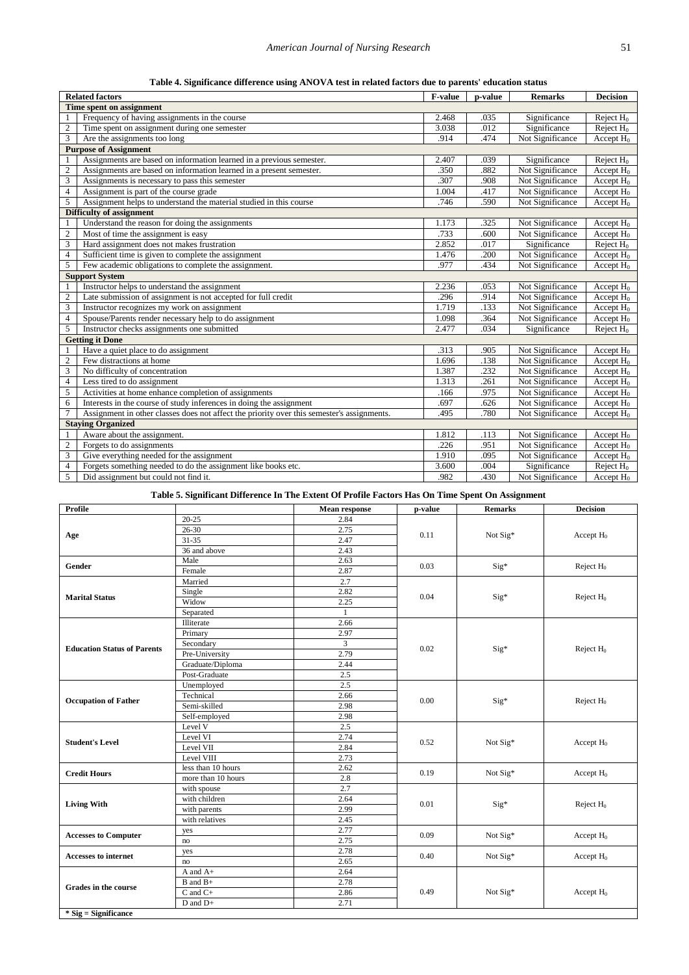|  |  |  | Table 4. Significance difference using ANOVA test in related factors due to parents' education status |
|--|--|--|-------------------------------------------------------------------------------------------------------|
|  |  |  |                                                                                                       |

<span id="page-4-0"></span>

|                  | <b>Related factors</b>                                                                     | <b>F-value</b> | p-value | <b>Remarks</b>   | <b>Decision</b> |
|------------------|--------------------------------------------------------------------------------------------|----------------|---------|------------------|-----------------|
|                  | Time spent on assignment                                                                   |                |         |                  |                 |
|                  | Frequency of having assignments in the course                                              | 2.468          | .035    | Significance     | Reject $H_0$    |
| $\mathfrak{2}$   | Time spent on assignment during one semester                                               | 3.038          | .012    | Significance     | Reject $H_0$    |
| $\overline{3}$   | Are the assignments too long                                                               | .914           | .474    | Not Significance | Accept $H_0$    |
|                  | <b>Purpose of Assignment</b>                                                               |                |         |                  |                 |
|                  | Assignments are based on information learned in a previous semester.                       | 2.407          | .039    | Significance     | Reject $H_0$    |
| $\overline{2}$   | Assignments are based on information learned in a present semester.                        | .350           | .882    | Not Significance | Accept $H_0$    |
| 3                | Assignments is necessary to pass this semester                                             | .307           | .908    | Not Significance | Accept $H_0$    |
| $\overline{4}$   | Assignment is part of the course grade                                                     | 1.004          | .417    | Not Significance | Accept $H_0$    |
| 5                | Assignment helps to understand the material studied in this course                         | .746           | .590    | Not Significance | Accept $H_0$    |
|                  | Difficulty of assignment                                                                   |                |         |                  |                 |
|                  | Understand the reason for doing the assignments                                            | 1.173          | .325    | Not Significance | Accept $H_0$    |
| $\overline{2}$   | Most of time the assignment is easy                                                        | .733           | .600    | Not Significance | Accept $H_0$    |
| 3                | Hard assignment does not makes frustration                                                 | 2.852          | .017    | Significance     | Reject $H_0$    |
| $\overline{4}$   | Sufficient time is given to complete the assignment                                        | 1.476          | .200    | Not Significance | Accept $H_0$    |
| 5                | Few academic obligations to complete the assignment.                                       | .977           | 434     | Not Significance | Accept $H_0$    |
|                  | <b>Support System</b>                                                                      |                |         |                  |                 |
|                  | Instructor helps to understand the assignment                                              | 2.236          | .053    | Not Significance | Accept $H_0$    |
| $\overline{2}$   | Late submission of assignment is not accepted for full credit                              | .296           | .914    | Not Significance | Accept $H_0$    |
| 3                | Instructor recognizes my work on assignment                                                | 1.719          | .133    | Not Significance | Accept $H_0$    |
| $\overline{4}$   | Spouse/Parents render necessary help to do assignment                                      |                | .364    | Not Significance | Accept $H_0$    |
| 5                | Instructor checks assignments one submitted                                                | 2.477          | .034    | Significance     | Reject $H_0$    |
|                  | <b>Getting it Done</b>                                                                     |                |         |                  |                 |
|                  | Have a quiet place to do assignment                                                        | .313           | .905    | Not Significance | Accept $H_0$    |
| $\overline{2}$   | Few distractions at home                                                                   | 1.696          | .138    | Not Significance | Accept $H_0$    |
| 3                | No difficulty of concentration                                                             | 1.387          | .232    | Not Significance | Accept $H_0$    |
| $\overline{4}$   | Less tired to do assignment                                                                | 1.313          | .261    | Not Significance | Accept $H_0$    |
| 5                | Activities at home enhance completion of assignments                                       | .166           | .975    | Not Significance | Accept $H_0$    |
| 6                | Interests in the course of study inferences in doing the assignment                        | .697           | .626    | Not Significance | Accept $H_0$    |
| $\overline{7}$   | Assignment in other classes does not affect the priority over this semester's assignments. | .495           | .780    | Not Significance | Accept $H_0$    |
|                  | <b>Staving Organized</b>                                                                   |                |         |                  |                 |
|                  | Aware about the assignment.                                                                | 1.812          | .113    | Not Significance | Accept $H_0$    |
| $\boldsymbol{2}$ | Forgets to do assignments                                                                  | .226           | .951    | Not Significance | Accept $H_0$    |
| 3                | Give everything needed for the assignment                                                  | 1.910          | .095    | Not Significance | Accept $H_0$    |
| $\overline{4}$   | Forgets something needed to do the assignment like books etc.                              | 3.600          | .004    | Significance     | Reject $H_0$    |
| 5                | Did assignment but could not find it.                                                      | .982           | .430    | Not Significance | Accept $H_0$    |

## **Table 5. Significant Difference In The Extent Of Profile Factors Has On Time Spent On Assignment**

<span id="page-4-1"></span>

| <b>Profile</b>                     |                    | <b>Mean response</b>                                                            | p-value | <b>Remarks</b>                                                                                               | <b>Decision</b> |  |
|------------------------------------|--------------------|---------------------------------------------------------------------------------|---------|--------------------------------------------------------------------------------------------------------------|-----------------|--|
|                                    | $20 - 25$          | 2.84                                                                            |         |                                                                                                              |                 |  |
|                                    | $26 - 30$          | 2.75                                                                            |         | Not Sig*<br>Sig*<br>Sig*<br>Sig*<br>Sig*<br>Not Sig*<br>Not Sig*<br>Sig*<br>Not Sig*<br>Not Sig*<br>Not Sig* |                 |  |
| Age                                | $31 - 35$          | 2.47                                                                            |         |                                                                                                              | Accept $H_0$    |  |
|                                    | 36 and above       | 2.43                                                                            |         |                                                                                                              |                 |  |
|                                    | Male               | 2.63                                                                            |         |                                                                                                              |                 |  |
| Gender                             | Female             | 2.87                                                                            |         | 0.11<br>0.03<br>0.04<br>0.02<br>0.00<br>0.52<br>0.19<br>0.01<br>0.09<br>0.40<br>0.49                         | Reject $H_0$    |  |
|                                    | Married            | 2.7                                                                             |         |                                                                                                              |                 |  |
|                                    | Single             | 2.82                                                                            |         |                                                                                                              |                 |  |
| <b>Marital Status</b>              | Widow              | 2.25                                                                            |         |                                                                                                              | Reject $H_0$    |  |
|                                    | Separated          | $\mathbf{1}$                                                                    |         |                                                                                                              |                 |  |
|                                    | Illiterate         | 2.66                                                                            |         |                                                                                                              |                 |  |
|                                    | Primary            | 2.97                                                                            |         |                                                                                                              |                 |  |
| <b>Education Status of Parents</b> | Secondary          | $\overline{3}$                                                                  |         |                                                                                                              |                 |  |
|                                    | Pre-University     | 2.79                                                                            |         |                                                                                                              | Reject $H_0$    |  |
|                                    | Graduate/Diploma   | 2.44                                                                            |         |                                                                                                              |                 |  |
|                                    | Post-Graduate      | 2.5                                                                             |         |                                                                                                              |                 |  |
|                                    | Unemployed         | 2.5                                                                             |         |                                                                                                              |                 |  |
| <b>Occupation of Father</b>        | Technical          | 2.66                                                                            |         |                                                                                                              | Reject $H_0$    |  |
|                                    | Semi-skilled       | 2.98                                                                            |         |                                                                                                              |                 |  |
|                                    | Self-employed      |                                                                                 |         |                                                                                                              |                 |  |
|                                    | Level V            | 2.5                                                                             |         |                                                                                                              | Accept $H_0$    |  |
| <b>Student's Level</b>             | Level VI           | 2.74                                                                            |         |                                                                                                              |                 |  |
|                                    | Level VII          | 2.84                                                                            |         |                                                                                                              |                 |  |
|                                    | Level VIII         | 2.73                                                                            |         |                                                                                                              |                 |  |
| <b>Credit Hours</b>                | less than 10 hours | 2.62                                                                            |         |                                                                                                              | Accept $H_0$    |  |
|                                    | more than 10 hours |                                                                                 |         |                                                                                                              |                 |  |
|                                    | with spouse        |                                                                                 |         |                                                                                                              |                 |  |
| <b>Living With</b>                 | with children      |                                                                                 |         |                                                                                                              | Reject $H_0$    |  |
|                                    | with parents       |                                                                                 |         |                                                                                                              |                 |  |
|                                    | with relatives     |                                                                                 |         |                                                                                                              |                 |  |
| <b>Accesses to Computer</b>        | yes                |                                                                                 |         |                                                                                                              | Accept $H_0$    |  |
|                                    | $\rm{no}$          | 2.98<br>2.8<br>2.7<br>2.64<br>2.99<br>2.45<br>2.77<br>$2.\overline{75}$<br>2.78 |         |                                                                                                              |                 |  |
| <b>Accesses to internet</b>        | yes                |                                                                                 |         |                                                                                                              | Accept $H_0$    |  |
|                                    | no                 | 2.65                                                                            |         |                                                                                                              |                 |  |
|                                    | A and A+           | 2.64                                                                            |         |                                                                                                              |                 |  |
| Grades in the course               | B and B+           | 2.78                                                                            |         |                                                                                                              |                 |  |
|                                    | $C$ and $C+$       | 2.86                                                                            |         |                                                                                                              | Accept $H_0$    |  |
|                                    | D and D+           | 2.71                                                                            |         |                                                                                                              |                 |  |
| $*$ Sig = Significance             |                    |                                                                                 |         |                                                                                                              |                 |  |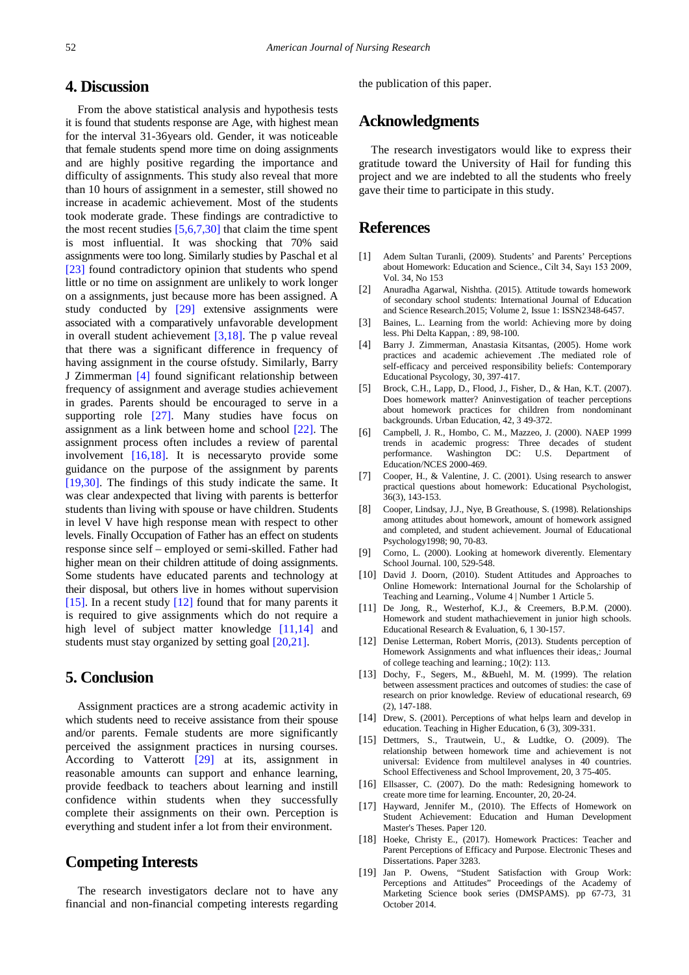## **4. Discussion**

From the above statistical analysis and hypothesis tests it is found that students response are Age, with highest mean for the interval 31-36years old. Gender, it was noticeable that female students spend more time on doing assignments and are highly positive regarding the importance and difficulty of assignments. This study also reveal that more than 10 hours of assignment in a semester, still showed no increase in academic achievement. Most of the students took moderate grade. These findings are contradictive to the most recent studies  $[5,6,7,30]$  that claim the time spent is most influential. It was shocking that 70% said assignments were too long. Similarly studies by Paschal et al [\[23\]](#page-6-0) found contradictory opinion that students who spend little or no time on assignment are unlikely to work longer on a assignments, just because more has been assigned. A study conducted by [\[29\]](#page-6-1) extensive assignments were associated with a comparatively unfavorable development in overall student achievement [\[3,18\].](#page-5-2) The p value reveal that there was a significant difference in frequency of having assignment in the course ofstudy. Similarly, Barry J Zimmerman [\[4\]](#page-5-3) found significant relationship between frequency of assignment and average studies achievement in grades. Parents should be encouraged to serve in a supporting role [\[27\].](#page-6-2) Many studies have focus on assignment as a link between home and school [\[22\].](#page-6-3) The assignment process often includes a review of parental involvement [\[16,18\].](#page-5-9) It is necessaryto provide some guidance on the purpose of the assignment by parents [\[19,30\].](#page-5-10) The findings of this study indicate the same. It was clear andexpected that living with parents is betterfor students than living with spouse or have children. Students in level V have high response mean with respect to other levels. Finally Occupation of Father has an effect on students response since self – employed or semi-skilled. Father had higher mean on their children attitude of doing assignments. Some students have educated parents and technology at their disposal, but others live in homes without supervision [\[15\].](#page-5-11) In a recent study [\[12\]](#page-5-12) found that for many parents it is required to give assignments which do not require a high level of subject matter knowledge [\[11,14\]](#page-5-13) and students must stay organized by setting goal [\[20,21\].](#page-6-4)

## **5. Conclusion**

Assignment practices are a strong academic activity in which students need to receive assistance from their spouse and/or parents. Female students are more significantly perceived the assignment practices in nursing courses. According to Vatterott [\[29\]](#page-6-1) at its, assignment in reasonable amounts can support and enhance learning, provide feedback to teachers about learning and instill confidence within students when they successfully complete their assignments on their own. Perception is everything and student infer a lot from their environment.

# **Competing Interests**

The research investigators declare not to have any financial and non-financial competing interests regarding the publication of this paper.

## **Acknowledgments**

The research investigators would like to express their gratitude toward the University of Hail for funding this project and we are indebted to all the students who freely gave their time to participate in this study.

## **References**

- <span id="page-5-0"></span>[1] Adem Sultan Turanli, (2009). Students' and Parents' Perceptions about Homework: Education and Science., Cilt 34, Sayı 153 2009, Vol. 34, No 153
- <span id="page-5-1"></span>[2] Anuradha Agarwal, Nishtha. (2015). Attitude towards homework of secondary school students: International Journal of Education and Science Research.2015; Volume 2, Issue 1: ISSN2348-6457.
- <span id="page-5-2"></span>[3] Baines, L.. Learning from the world: Achieving more by doing less. Phi Delta Kappan, : 89, 98-100.
- <span id="page-5-3"></span>[4] Barry J. Zimmerman, Anastasia Kitsantas, (2005). Home work practices and academic achievement .The mediated role of self-efficacy and perceived responsibility beliefs: Contemporary Educational Psycology, 30, 397-417.
- <span id="page-5-8"></span>[5] Brock, C.H., Lapp, D., Flood, J., Fisher, D., & Han, K.T. (2007). Does homework matter? Aninvestigation of teacher perceptions about homework practices for children from nondominant backgrounds. Urban Education, 42, 3 49-372.
- <span id="page-5-4"></span>[6] Campbell, J. R., Hombo, C. M., Mazzeo, J. (2000). NAEP 1999 trends in academic progress: Three decades of student performance. Washington DC: U.S. Department of Education/NCES 2000-469.
- <span id="page-5-5"></span>[7] Cooper, H., & Valentine, J. C. (2001). Using research to answer practical questions about homework: Educational Psychologist, 36(3), 143-153.
- <span id="page-5-6"></span>[8] Cooper, Lindsay, J.J., Nye, B Greathouse, S. (1998). Relationships among attitudes about homework, amount of homework assigned and completed, and student achievement. Journal of Educational Psychology1998; 90, 70-83.
- <span id="page-5-7"></span>[9] Corno, L. (2000). Looking at homework diverently. Elementary School Journal. 100, 529-548.
- [10] David J. Doorn, (2010). Student Attitudes and Approaches to Online Homework: International Journal for the Scholarship of Teaching and Learning., Volume 4 | Number 1 Article 5.
- <span id="page-5-13"></span>[11] De Jong, R., Westerhof, K.J., & Creemers, B.P.M. (2000). Homework and student mathachievement in junior high schools. Educational Research & Evaluation, 6, 1 30-157.
- <span id="page-5-12"></span>[12] Denise Letterman, Robert Morris, (2013). Students perception of Homework Assignments and what influences their ideas,: Journal of college teaching and learning.; 10(2): 113.
- [13] Dochy, F., Segers, M., &Buehl, M. M. (1999). The relation between assessment practices and outcomes of studies: the case of research on prior knowledge. Review of educational research, 69 (2), 147-188.
- [14] Drew, S. (2001). Perceptions of what helps learn and develop in education. Teaching in Higher Education, 6 (3), 309-331.
- <span id="page-5-11"></span>[15] Dettmers, S., Trautwein, U., & Ludtke, O. (2009). The relationship between homework time and achievement is not universal: Evidence from multilevel analyses in 40 countries. School Effectiveness and School Improvement, 20, 3 75-405.
- <span id="page-5-9"></span>[16] Ellsasser, C. (2007). Do the math: Redesigning homework to create more time for learning. Encounter, 20, 20-24.
- [17] Hayward, Jennifer M., (2010). The Effects of Homework on Student Achievement: Education and Human Development Master's Theses. Paper 120.
- [18] Hoeke, Christy E., (2017). Homework Practices: Teacher and Parent Perceptions of Efficacy and Purpose. Electronic Theses and Dissertations. Paper 3283.
- <span id="page-5-10"></span>[19] Jan P. Owens, "Student Satisfaction with Group Work: Perceptions and Attitudes" Proceedings of the Academy of Marketing Science book series (DMSPAMS). pp 67-73, 31 October 2014.